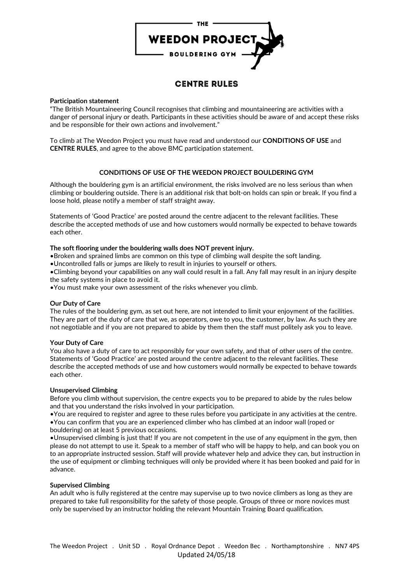

# **CENTRE RULES**

## **Participation statement**

"The British Mountaineering Council recognises that climbing and mountaineering are activities with a danger of personal injury or death. Participants in these activities should be aware of and accept these risks and be responsible for their own actions and involvement."

To climb at The Weedon Project you must have read and understood our **CONDITIONS OF USE** and **CENTRE RULES**, and agree to the above BMC participation statement.

# **CONDITIONS OF USE OF THE WEEDON PROJECT BOULDERING GYM**

Although the bouldering gym is an artificial environment, the risks involved are no less serious than when climbing or bouldering outside. There is an additional risk that bolt-on holds can spin or break. If you find a loose hold, please notify a member of staff straight away.

Statements of 'Good Practice' are posted around the centre adjacent to the relevant facilities. These describe the accepted methods of use and how customers would normally be expected to behave towards each other.

## **The soft flooring under the bouldering walls does NOT prevent injury.**

•Broken and sprained limbs are common on this type of climbing wall despite the soft landing.

•Uncontrolled falls or jumps are likely to result in injuries to yourself or others.

•Climbing beyond your capabilities on any wall could result in a fall. Any fall may result in an injury despite the safety systems in place to avoid it.

•You must make your own assessment of the risks whenever you climb.

#### **Our Duty of Care**

The rules of the bouldering gym, as set out here, are not intended to limit your enjoyment of the facilities. They are part of the duty of care that we, as operators, owe to you, the customer, by law. As such they are not negotiable and if you are not prepared to abide by them then the staff must politely ask you to leave.

#### **Your Duty of Care**

You also have a duty of care to act responsibly for your own safety, and that of other users of the centre. Statements of 'Good Practice' are posted around the centre adjacent to the relevant facilities. These describe the accepted methods of use and how customers would normally be expected to behave towards each other.

# **Unsupervised Climbing**

Before you climb without supervision, the centre expects you to be prepared to abide by the rules below and that you understand the risks involved in your participation.

•You are required to register and agree to these rules before you participate in any activities at the centre. •You can confirm that you are an experienced climber who has climbed at an indoor wall (roped or bouldering) on at least 5 previous occasions.

•Unsupervised climbing is just that! If you are not competent in the use of any equipment in the gym, then please do not attempt to use it. Speak to a member of staff who will be happy to help, and can book you on to an appropriate instructed session. Staff will provide whatever help and advice they can, but instruction in the use of equipment or climbing techniques will only be provided where it has been booked and paid for in advance.

#### **Supervised Climbing**

An adult who is fully registered at the centre may supervise up to two novice climbers as long as they are prepared to take full responsibility for the safety of those people. Groups of three or more novices must only be supervised by an instructor holding the relevant Mountain Training Board qualification.